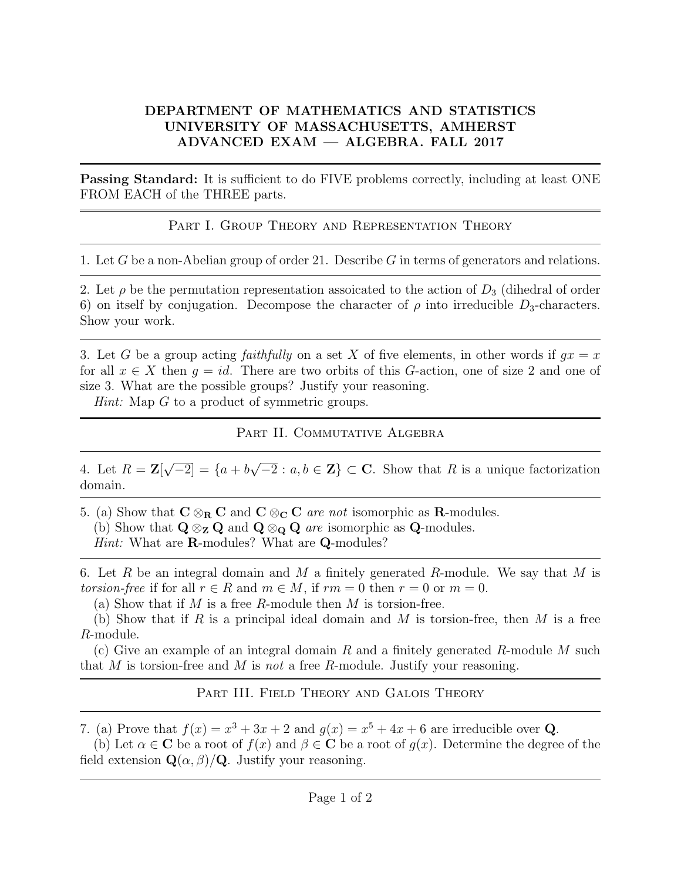## DEPARTMENT OF MATHEMATICS AND STATISTICS UNIVERSITY OF MASSACHUSETTS, AMHERST ADVANCED EXAM — ALGEBRA. FALL 2017

**Passing Standard:** It is sufficient to do FIVE problems correctly, including at least ONE FROM EACH of the THREE parts.

PART I. GROUP THEORY AND REPRESENTATION THEORY

1. Let G be a non-Abelian group of order 21. Describe G in terms of generators and relations.

2. Let  $\rho$  be the permutation representation assoicated to the action of  $D_3$  (dihedral of order 6) on itself by conjugation. Decompose the character of  $\rho$  into irreducible  $D_3$ -characters. Show your work.

3. Let G be a group acting *faithfully* on a set X of five elements, in other words if  $gx = x$ for all  $x \in X$  then  $q = id$ . There are two orbits of this G-action, one of size 2 and one of size 3. What are the possible groups? Justify your reasoning.

Hint: Map G to a product of symmetric groups.

PART II. COMMUTATIVE ALGEBRA

4. Let  $R = \mathbf{Z}$ [ √  $\boxed{-2} = \{a+b\}$ √  $\overline{-2} : a, b \in \mathbb{Z} \} \subset \mathbb{C}$ . Show that R is a unique factorization domain.

5. (a) Show that  $C \otimes_R C$  and  $C \otimes_C C$  are not isomorphic as **R**-modules. (b) Show that  $\mathbf{Q} \otimes_{\mathbf{Z}} \mathbf{Q}$  and  $\mathbf{Q} \otimes_{\mathbf{Q}} \mathbf{Q}$  are isomorphic as  $\mathbf{Q}$ -modules. Hint: What are **R**-modules? What are **Q**-modules?

6. Let R be an integral domain and M a finitely generated R-module. We say that M is torsion-free if for all  $r \in R$  and  $m \in M$ , if  $rm = 0$  then  $r = 0$  or  $m = 0$ .

(a) Show that if M is a free R-module then M is torsion-free.

(b) Show that if R is a principal ideal domain and M is torsion-free, then M is a free R-module.

(c) Give an example of an integral domain R and a finitely generated R-module M such that M is torsion-free and M is not a free R-module. Justify your reasoning.

PART III. FIELD THEORY AND GALOIS THEORY

7. (a) Prove that  $f(x) = x^3 + 3x + 2$  and  $g(x) = x^5 + 4x + 6$  are irreducible over Q.

(b) Let  $\alpha \in \mathbb{C}$  be a root of  $f(x)$  and  $\beta \in \mathbb{C}$  be a root of  $g(x)$ . Determine the degree of the field extension  $\mathbf{Q}(\alpha, \beta)/\mathbf{Q}$ . Justify your reasoning.